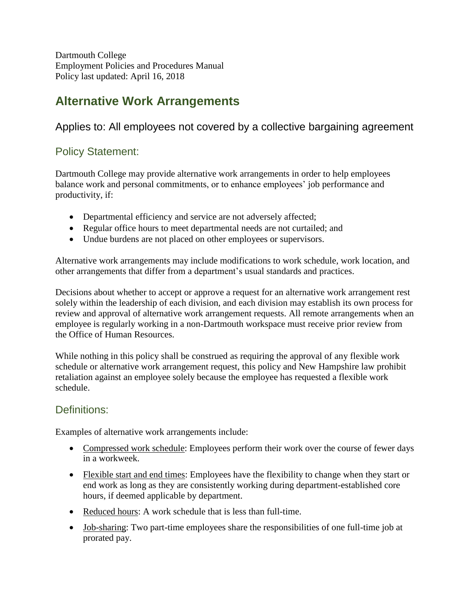Dartmouth College Employment Policies and Procedures Manual Policy last updated: April 16, 2018

# **Alternative Work Arrangements**

## Applies to: All employees not covered by a collective bargaining agreement

### Policy Statement:

Dartmouth College may provide alternative work arrangements in order to help employees balance work and personal commitments, or to enhance employees' job performance and productivity, if:

- Departmental efficiency and service are not adversely affected;
- Regular office hours to meet departmental needs are not curtailed; and
- Undue burdens are not placed on other employees or supervisors.

Alternative work arrangements may include modifications to work schedule, work location, and other arrangements that differ from a department's usual standards and practices.

Decisions about whether to accept or approve a request for an alternative work arrangement rest solely within the leadership of each division, and each division may establish its own process for review and approval of alternative work arrangement requests. All remote arrangements when an employee is regularly working in a non-Dartmouth workspace must receive prior review from the Office of Human Resources.

While nothing in this policy shall be construed as requiring the approval of any flexible work schedule or alternative work arrangement request, this policy and New Hampshire law prohibit retaliation against an employee solely because the employee has requested a flexible work schedule.

### Definitions:

Examples of alternative work arrangements include:

- Compressed work schedule: Employees perform their work over the course of fewer days in a workweek.
- Flexible start and end times: Employees have the flexibility to change when they start or end work as long as they are consistently working during department-established core hours, if deemed applicable by department.
- Reduced hours: A work schedule that is less than full-time.
- Job-sharing: Two part-time employees share the responsibilities of one full-time job at prorated pay.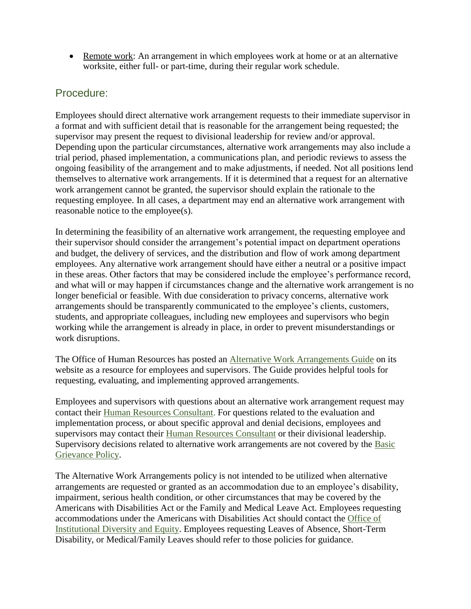• Remote work: An arrangement in which employees work at home or at an alternative worksite, either full- or part-time, during their regular work schedule.

#### Procedure:

Employees should direct alternative work arrangement requests to their immediate supervisor in a format and with sufficient detail that is reasonable for the arrangement being requested; the supervisor may present the request to divisional leadership for review and/or approval. Depending upon the particular circumstances, alternative work arrangements may also include a trial period, phased implementation, a communications plan, and periodic reviews to assess the ongoing feasibility of the arrangement and to make adjustments, if needed. Not all positions lend themselves to alternative work arrangements. If it is determined that a request for an alternative work arrangement cannot be granted, the supervisor should explain the rationale to the requesting employee. In all cases, a department may end an alternative work arrangement with reasonable notice to the employee(s).

In determining the feasibility of an alternative work arrangement, the requesting employee and their supervisor should consider the arrangement's potential impact on department operations and budget, the delivery of services, and the distribution and flow of work among department employees. Any alternative work arrangement should have either a neutral or a positive impact in these areas. Other factors that may be considered include the employee's performance record, and what will or may happen if circumstances change and the alternative work arrangement is no longer beneficial or feasible. With due consideration to privacy concerns, alternative work arrangements should be transparently communicated to the employee's clients, customers, students, and appropriate colleagues, including new employees and supervisors who begin working while the arrangement is already in place, in order to prevent misunderstandings or work disruptions.

The Office of Human Resources has posted an [Alternative Work Arrangements Guide](http://www.dartmouth.edu/~hrs/pdfs/awaguide.pdf) on its website as a resource for employees and supervisors. The Guide provides helpful tools for requesting, evaluating, and implementing approved arrangements.

Employees and supervisors with questions about an alternative work arrangement request may contact their [Human Resources Consultant.](http://www.dartmouth.edu/~hrs/manager/toolkit/hrconsultant/) For questions related to the evaluation and implementation process, or about specific approval and denial decisions, employees and supervisors may contact their [Human Resources Consultant](http://www.dartmouth.edu/~hrs/manager/toolkit/hrconsultant/) or their divisional leadership. Supervisory decisions related to alternative work arrangements are not covered by the [Basic](http://www.dartmouth.edu/~hrs/pdfs/Basic_Grievance_Policy.pdf)  [Grievance Policy.](http://www.dartmouth.edu/~hrs/pdfs/Basic_Grievance_Policy.pdf)

The Alternative Work Arrangements policy is not intended to be utilized when alternative arrangements are requested or granted as an accommodation due to an employee's disability, impairment, serious health condition, or other circumstances that may be covered by the Americans with Disabilities Act or the Family and Medical Leave Act. Employees requesting accommodations under the Americans with Disabilities Act should contact the [Office of](http://www.dartmouth.edu/~ide/)  [Institutional Diversity and Equity.](http://www.dartmouth.edu/~ide/) Employees requesting Leaves of Absence, Short-Term Disability, or Medical/Family Leaves should refer to those policies for guidance.